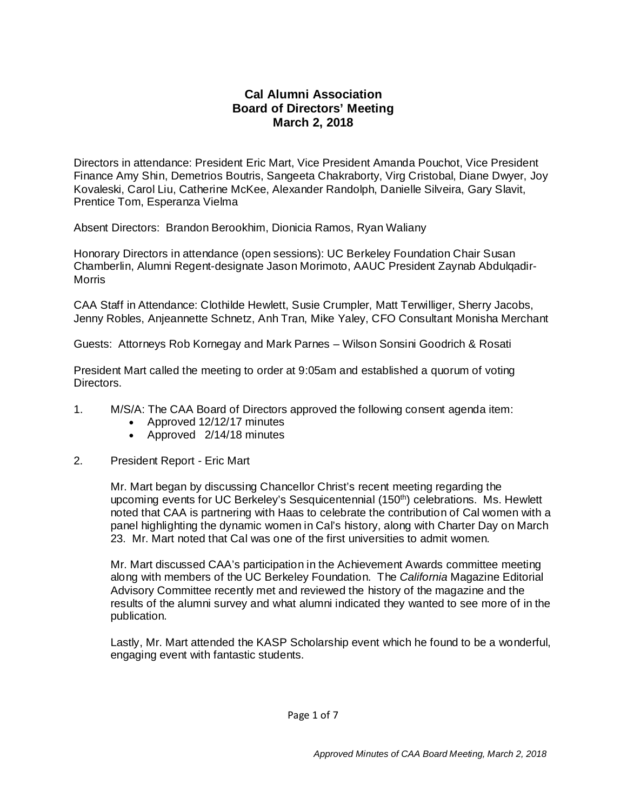## **Cal Alumni Association Board of Directors' Meeting March 2, 2018**

Directors in attendance: President Eric Mart, Vice President Amanda Pouchot, Vice President Finance Amy Shin, Demetrios Boutris, Sangeeta Chakraborty, Virg Cristobal, Diane Dwyer, Joy Kovaleski, Carol Liu, Catherine McKee, Alexander Randolph, Danielle Silveira, Gary Slavit, Prentice Tom, Esperanza Vielma

Absent Directors: Brandon Berookhim, Dionicia Ramos, Ryan Waliany

Honorary Directors in attendance (open sessions): UC Berkeley Foundation Chair Susan Chamberlin, Alumni Regent-designate Jason Morimoto, AAUC President Zaynab Abdulqadir-Morris

CAA Staff in Attendance: Clothilde Hewlett, Susie Crumpler, Matt Terwilliger, Sherry Jacobs, Jenny Robles, Anjeannette Schnetz, Anh Tran, Mike Yaley, CFO Consultant Monisha Merchant

Guests: Attorneys Rob Kornegay and Mark Parnes – Wilson Sonsini Goodrich & Rosati

President Mart called the meeting to order at 9:05am and established a quorum of voting Directors.

- 1. M/S/A: The CAA Board of Directors approved the following consent agenda item:
	- Approved 12/12/17 minutes
	- Approved 2/14/18 minutes
- 2. President Report Eric Mart

Mr. Mart began by discussing Chancellor Christ's recent meeting regarding the upcoming events for UC Berkeley's Sesquicentennial (150<sup>th</sup>) celebrations. Ms. Hewlett noted that CAA is partnering with Haas to celebrate the contribution of Cal women with a panel highlighting the dynamic women in Cal's history, along with Charter Day on March 23. Mr. Mart noted that Cal was one of the first universities to admit women.

Mr. Mart discussed CAA's participation in the Achievement Awards committee meeting along with members of the UC Berkeley Foundation. The *California* Magazine Editorial Advisory Committee recently met and reviewed the history of the magazine and the results of the alumni survey and what alumni indicated they wanted to see more of in the publication.

Lastly, Mr. Mart attended the KASP Scholarship event which he found to be a wonderful, engaging event with fantastic students.

Page 1 of 7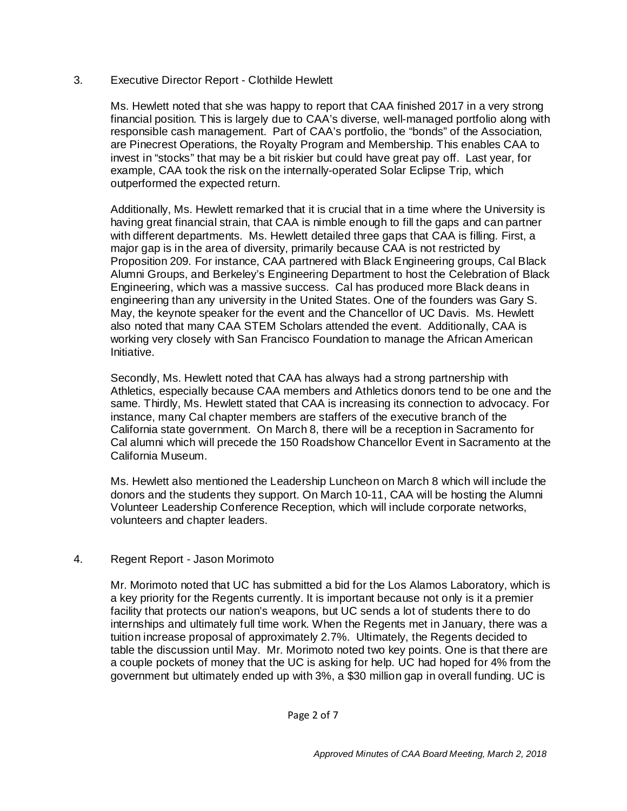## 3. Executive Director Report - Clothilde Hewlett

Ms. Hewlett noted that she was happy to report that CAA finished 2017 in a very strong financial position. This is largely due to CAA's diverse, well-managed portfolio along with responsible cash management. Part of CAA's portfolio, the "bonds" of the Association, are Pinecrest Operations, the Royalty Program and Membership. This enables CAA to invest in "stocks" that may be a bit riskier but could have great pay off. Last year, for example, CAA took the risk on the internally-operated Solar Eclipse Trip, which outperformed the expected return.

Additionally, Ms. Hewlett remarked that it is crucial that in a time where the University is having great financial strain, that CAA is nimble enough to fill the gaps and can partner with different departments. Ms. Hewlett detailed three gaps that CAA is filling. First, a major gap is in the area of diversity, primarily because CAA is not restricted by Proposition 209. For instance, CAA partnered with Black Engineering groups, Cal Black Alumni Groups, and Berkeley's Engineering Department to host the Celebration of Black Engineering, which was a massive success. Cal has produced more Black deans in engineering than any university in the United States. One of the founders was Gary S. May, the keynote speaker for the event and the Chancellor of UC Davis. Ms. Hewlett also noted that many CAA STEM Scholars attended the event. Additionally, CAA is working very closely with San Francisco Foundation to manage the African American Initiative.

Secondly, Ms. Hewlett noted that CAA has always had a strong partnership with Athletics, especially because CAA members and Athletics donors tend to be one and the same. Thirdly, Ms. Hewlett stated that CAA is increasing its connection to advocacy. For instance, many Cal chapter members are staffers of the executive branch of the California state government. On March 8, there will be a reception in Sacramento for Cal alumni which will precede the 150 Roadshow Chancellor Event in Sacramento at the California Museum.

Ms. Hewlett also mentioned the Leadership Luncheon on March 8 which will include the donors and the students they support. On March 10-11, CAA will be hosting the Alumni Volunteer Leadership Conference Reception, which will include corporate networks, volunteers and chapter leaders.

## 4. Regent Report - Jason Morimoto

Mr. Morimoto noted that UC has submitted a bid for the Los Alamos Laboratory, which is a key priority for the Regents currently. It is important because not only is it a premier facility that protects our nation's weapons, but UC sends a lot of students there to do internships and ultimately full time work. When the Regents met in January, there was a tuition increase proposal of approximately 2.7%. Ultimately, the Regents decided to table the discussion until May. Mr. Morimoto noted two key points. One is that there are a couple pockets of money that the UC is asking for help. UC had hoped for 4% from the government but ultimately ended up with 3%, a \$30 million gap in overall funding. UC is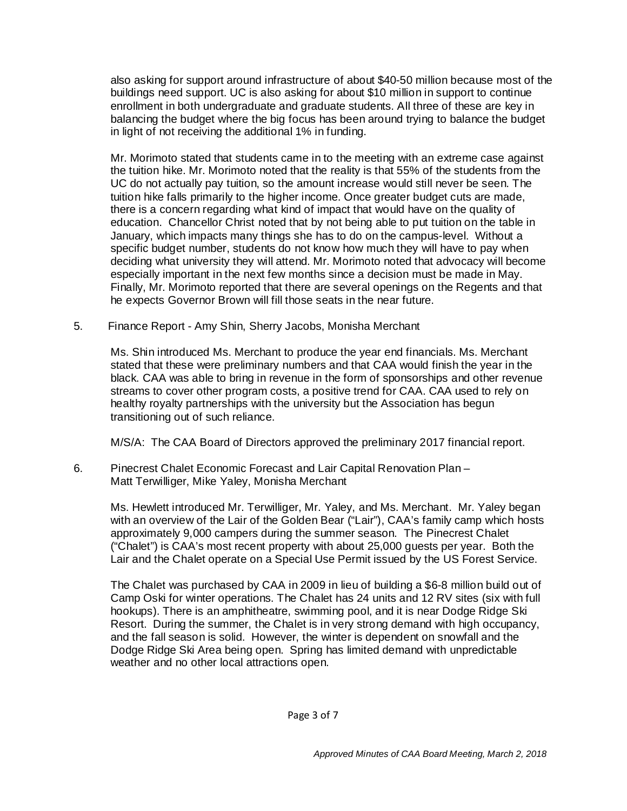also asking for support around infrastructure of about \$40-50 million because most of the buildings need support. UC is also asking for about \$10 million in support to continue enrollment in both undergraduate and graduate students. All three of these are key in balancing the budget where the big focus has been around trying to balance the budget in light of not receiving the additional 1% in funding.

Mr. Morimoto stated that students came in to the meeting with an extreme case against the tuition hike. Mr. Morimoto noted that the reality is that 55% of the students from the UC do not actually pay tuition, so the amount increase would still never be seen. The tuition hike falls primarily to the higher income. Once greater budget cuts are made, there is a concern regarding what kind of impact that would have on the quality of education. Chancellor Christ noted that by not being able to put tuition on the table in January, which impacts many things she has to do on the campus-level. Without a specific budget number, students do not know how much they will have to pay when deciding what university they will attend. Mr. Morimoto noted that advocacy will become especially important in the next few months since a decision must be made in May. Finally, Mr. Morimoto reported that there are several openings on the Regents and that he expects Governor Brown will fill those seats in the near future.

5. Finance Report - Amy Shin, Sherry Jacobs, Monisha Merchant

Ms. Shin introduced Ms. Merchant to produce the year end financials. Ms. Merchant stated that these were preliminary numbers and that CAA would finish the year in the black. CAA was able to bring in revenue in the form of sponsorships and other revenue streams to cover other program costs, a positive trend for CAA. CAA used to rely on healthy royalty partnerships with the university but the Association has begun transitioning out of such reliance.

M/S/A: The CAA Board of Directors approved the preliminary 2017 financial report.

6. Pinecrest Chalet Economic Forecast and Lair Capital Renovation Plan – Matt Terwilliger, Mike Yaley, Monisha Merchant

Ms. Hewlett introduced Mr. Terwilliger, Mr. Yaley, and Ms. Merchant. Mr. Yaley began with an overview of the Lair of the Golden Bear ("Lair"), CAA's family camp which hosts approximately 9,000 campers during the summer season. The Pinecrest Chalet ("Chalet") is CAA's most recent property with about 25,000 guests per year. Both the Lair and the Chalet operate on a Special Use Permit issued by the US Forest Service.

The Chalet was purchased by CAA in 2009 in lieu of building a \$6-8 million build out of Camp Oski for winter operations. The Chalet has 24 units and 12 RV sites (six with full hookups). There is an amphitheatre, swimming pool, and it is near Dodge Ridge Ski Resort. During the summer, the Chalet is in very strong demand with high occupancy, and the fall season is solid. However, the winter is dependent on snowfall and the Dodge Ridge Ski Area being open. Spring has limited demand with unpredictable weather and no other local attractions open.

Page 3 of 7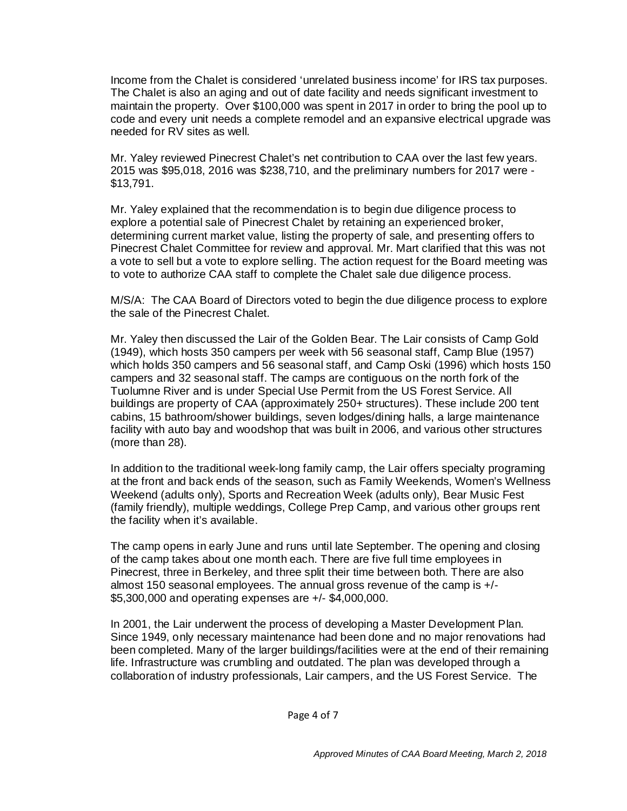Income from the Chalet is considered 'unrelated business income' for IRS tax purposes. The Chalet is also an aging and out of date facility and needs significant investment to maintain the property. Over \$100,000 was spent in 2017 in order to bring the pool up to code and every unit needs a complete remodel and an expansive electrical upgrade was needed for RV sites as well.

Mr. Yaley reviewed Pinecrest Chalet's net contribution to CAA over the last few years. 2015 was \$95,018, 2016 was \$238,710, and the preliminary numbers for 2017 were - \$13,791.

Mr. Yaley explained that the recommendation is to begin due diligence process to explore a potential sale of Pinecrest Chalet by retaining an experienced broker, determining current market value, listing the property of sale, and presenting offers to Pinecrest Chalet Committee for review and approval. Mr. Mart clarified that this was not a vote to sell but a vote to explore selling. The action request for the Board meeting was to vote to authorize CAA staff to complete the Chalet sale due diligence process.

M/S/A: The CAA Board of Directors voted to begin the due diligence process to explore the sale of the Pinecrest Chalet.

Mr. Yaley then discussed the Lair of the Golden Bear. The Lair consists of Camp Gold (1949), which hosts 350 campers per week with 56 seasonal staff, Camp Blue (1957) which holds 350 campers and 56 seasonal staff, and Camp Oski (1996) which hosts 150 campers and 32 seasonal staff. The camps are contiguous on the north fork of the Tuolumne River and is under Special Use Permit from the US Forest Service. All buildings are property of CAA (approximately 250+ structures). These include 200 tent cabins, 15 bathroom/shower buildings, seven lodges/dining halls, a large maintenance facility with auto bay and woodshop that was built in 2006, and various other structures (more than 28).

In addition to the traditional week-long family camp, the Lair offers specialty programing at the front and back ends of the season, such as Family Weekends, Women's Wellness Weekend (adults only), Sports and Recreation Week (adults only), Bear Music Fest (family friendly), multiple weddings, College Prep Camp, and various other groups rent the facility when it's available.

The camp opens in early June and runs until late September. The opening and closing of the camp takes about one month each. There are five full time employees in Pinecrest, three in Berkeley, and three split their time between both. There are also almost 150 seasonal employees. The annual gross revenue of the camp is +/- \$5,300,000 and operating expenses are +/- \$4,000,000.

In 2001, the Lair underwent the process of developing a Master Development Plan. Since 1949, only necessary maintenance had been done and no major renovations had been completed. Many of the larger buildings/facilities were at the end of their remaining life. Infrastructure was crumbling and outdated. The plan was developed through a collaboration of industry professionals, Lair campers, and the US Forest Service. The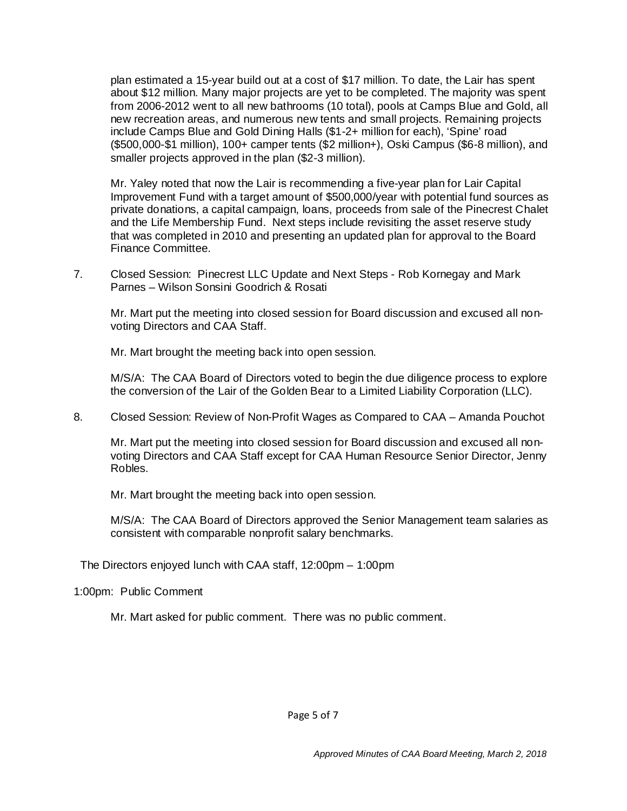plan estimated a 15-year build out at a cost of \$17 million. To date, the Lair has spent about \$12 million. Many major projects are yet to be completed. The majority was spent from 2006-2012 went to all new bathrooms (10 total), pools at Camps Blue and Gold, all new recreation areas, and numerous new tents and small projects. Remaining projects include Camps Blue and Gold Dining Halls (\$1-2+ million for each), 'Spine' road (\$500,000-\$1 million), 100+ camper tents (\$2 million+), Oski Campus (\$6-8 million), and smaller projects approved in the plan (\$2-3 million).

Mr. Yaley noted that now the Lair is recommending a five-year plan for Lair Capital Improvement Fund with a target amount of \$500,000/year with potential fund sources as private donations, a capital campaign, loans, proceeds from sale of the Pinecrest Chalet and the Life Membership Fund. Next steps include revisiting the asset reserve study that was completed in 2010 and presenting an updated plan for approval to the Board Finance Committee.

7. Closed Session: Pinecrest LLC Update and Next Steps - Rob Kornegay and Mark Parnes – Wilson Sonsini Goodrich & Rosati

Mr. Mart put the meeting into closed session for Board discussion and excused all nonvoting Directors and CAA Staff.

Mr. Mart brought the meeting back into open session.

M/S/A: The CAA Board of Directors voted to begin the due diligence process to explore the conversion of the Lair of the Golden Bear to a Limited Liability Corporation (LLC).

8. Closed Session: Review of Non-Profit Wages as Compared to CAA – Amanda Pouchot

Mr. Mart put the meeting into closed session for Board discussion and excused all nonvoting Directors and CAA Staff except for CAA Human Resource Senior Director, Jenny Robles.

Mr. Mart brought the meeting back into open session.

M/S/A: The CAA Board of Directors approved the Senior Management team salaries as consistent with comparable nonprofit salary benchmarks.

The Directors enjoyed lunch with CAA staff, 12:00pm – 1:00pm

1:00pm: Public Comment

Mr. Mart asked for public comment. There was no public comment.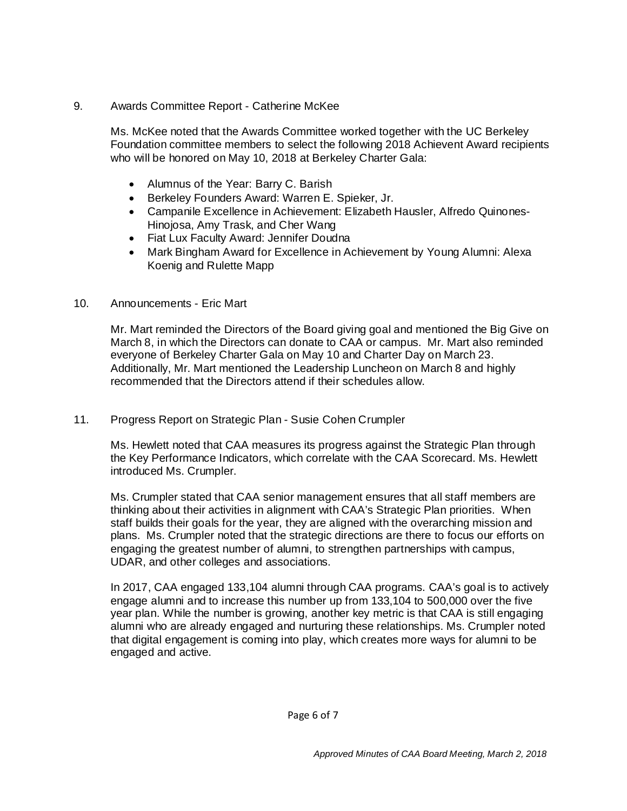9. Awards Committee Report - Catherine McKee

Ms. McKee noted that the Awards Committee worked together with the UC Berkeley Foundation committee members to select the following 2018 Achievent Award recipients who will be honored on May 10, 2018 at Berkeley Charter Gala:

- Alumnus of the Year: Barry C. Barish
- Berkeley Founders Award: Warren E. Spieker, Jr.
- Campanile Excellence in Achievement: Elizabeth Hausler, Alfredo Quinones-Hinojosa, Amy Trask, and Cher Wang
- Fiat Lux Faculty Award: Jennifer Doudna
- Mark Bingham Award for Excellence in Achievement by Young Alumni: Alexa Koenig and Rulette Mapp
- 10. Announcements Eric Mart

Mr. Mart reminded the Directors of the Board giving goal and mentioned the Big Give on March 8, in which the Directors can donate to CAA or campus. Mr. Mart also reminded everyone of Berkeley Charter Gala on May 10 and Charter Day on March 23. Additionally, Mr. Mart mentioned the Leadership Luncheon on March 8 and highly recommended that the Directors attend if their schedules allow.

11. Progress Report on Strategic Plan - Susie Cohen Crumpler

Ms. Hewlett noted that CAA measures its progress against the Strategic Plan through the Key Performance Indicators, which correlate with the CAA Scorecard. Ms. Hewlett introduced Ms. Crumpler.

Ms. Crumpler stated that CAA senior management ensures that all staff members are thinking about their activities in alignment with CAA's Strategic Plan priorities. When staff builds their goals for the year, they are aligned with the overarching mission and plans. Ms. Crumpler noted that the strategic directions are there to focus our efforts on engaging the greatest number of alumni, to strengthen partnerships with campus, UDAR, and other colleges and associations.

In 2017, CAA engaged 133,104 alumni through CAA programs. CAA's goal is to actively engage alumni and to increase this number up from 133,104 to 500,000 over the five year plan. While the number is growing, another key metric is that CAA is still engaging alumni who are already engaged and nurturing these relationships. Ms. Crumpler noted that digital engagement is coming into play, which creates more ways for alumni to be engaged and active.

Page 6 of 7